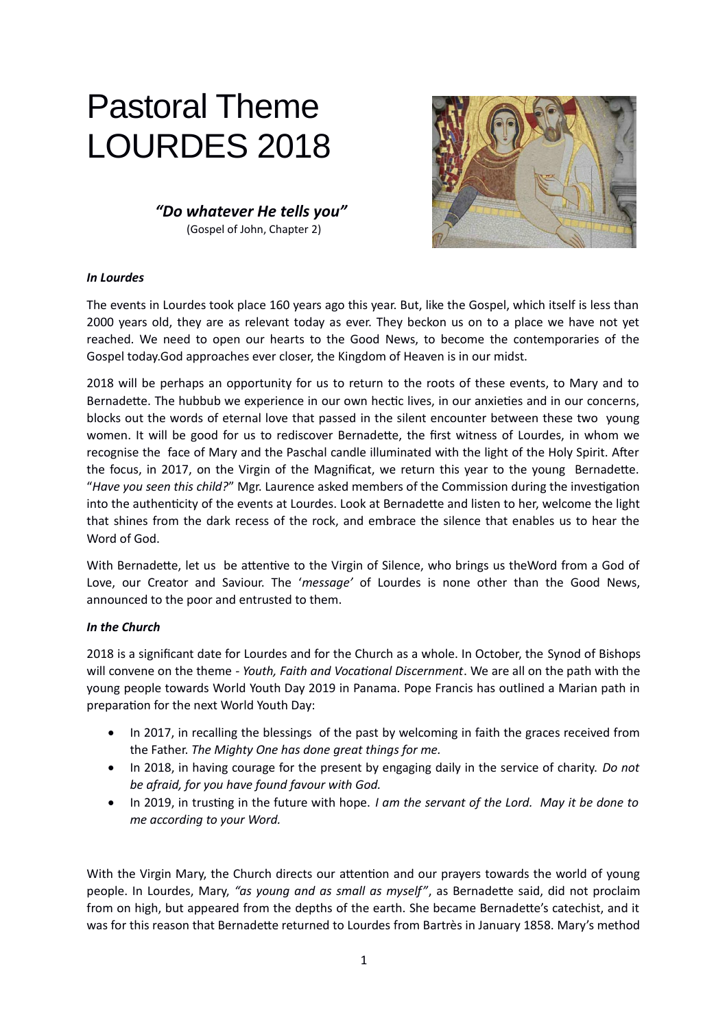# Pastoral Theme LOURDES 2018

# *"Do whatever He tells you"*  (Gospel of John, Chapter 2)



#### *In Lourdes*

The events in Lourdes took place 160 years ago this year. But, like the Gospel, which itself is less than 2000 years old, they are as relevant today as ever. They beckon us on to a place we have not yet reached. We need to open our hearts to the Good News, to become the contemporaries of the Gospel today.God approaches ever closer, the Kingdom of Heaven is in our midst.

2018 will be perhaps an opportunity for us to return to the roots of these events, to Mary and to Bernadette. The hubbub we experience in our own hectic lives, in our anxieties and in our concerns, blocks out the words of eternal love that passed in the silent encounter between these two young women. It will be good for us to rediscover Bernadette, the first witness of Lourdes, in whom we recognise the face of Mary and the Paschal candle illuminated with the light of the Holy Spirit. After the focus, in 2017, on the Virgin of the Magnificat, we return this year to the young Bernadette. "*Have you seen this child?*" Mgr. Laurence asked members of the Commission during the investigation into the authenticity of the events at Lourdes. Look at Bernadette and listen to her, welcome the light that shines from the dark recess of the rock, and embrace the silence that enables us to hear the Word of God.

With Bernadette, let us be attentive to the Virgin of Silence, who brings us theWord from a God of Love, our Creator and Saviour. The '*message'* of Lourdes is none other than the Good News, announced to the poor and entrusted to them.

## *In the Church*

2018 is a significant date for Lourdes and for the Church as a whole. In October, the Synod of Bishops will convene on the theme *- Youth, Faith and Vocational Discernment*. We are all on the path with the young people towards World Youth Day 2019 in Panama. Pope Francis has outlined a Marian path in preparation for the next World Youth Day:

- In 2017, in recalling the blessings of the past by welcoming in faith the graces received from the Father. *The Mighty One has done great things for me.*
- In 2018, in having courage for the present by engaging daily in the service of charity. *Do not be afraid, for you have found favour with God.*
- In 2019, in trusting in the future with hope. *I am the servant of the Lord. May it be done to me according to your Word.*

With the Virgin Mary, the Church directs our attention and our prayers towards the world of young people. In Lourdes, Mary, *"as young and as small as myself"*, as Bernadette said, did not proclaim from on high, but appeared from the depths of the earth. She became Bernadette's catechist, and it was for this reason that Bernadette returned to Lourdes from Bartrès in January 1858. Mary's method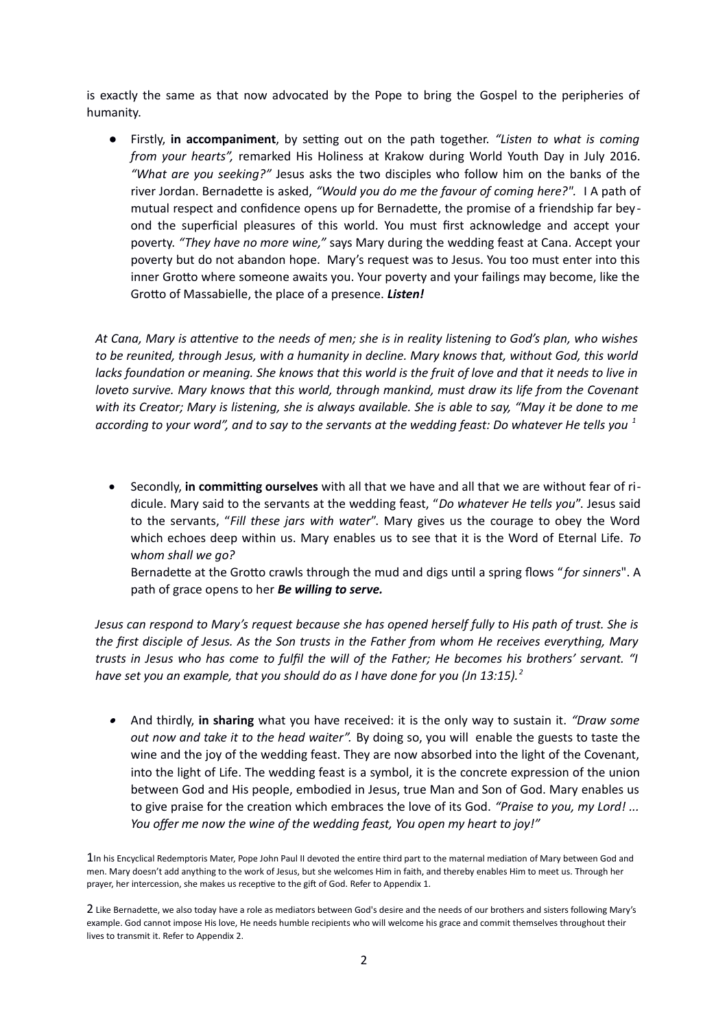is exactly the same as that now advocated by the Pope to bring the Gospel to the peripheries of humanity.

● Firstly, **in accompaniment**, by setting out on the path together. *"Listen to what is coming from your hearts",* remarked His Holiness at Krakow during World Youth Day in July 2016. *"What are you seeking?"* Jesus asks the two disciples who follow him on the banks of the river Jordan. Bernadette is asked, *"Would you do me the favour of coming here?".* I A path of mutual respect and confidence opens up for Bernadette, the promise of a friendship far beyond the superficial pleasures of this world. You must first acknowledge and accept your poverty. *"They have no more wine,"* says Mary during the wedding feast at Cana. Accept your poverty but do not abandon hope. Mary's request was to Jesus. You too must enter into this inner Grotto where someone awaits you. Your poverty and your failings may become, like the Grotto of Massabielle, the place of a presence. *Listen!*

*At Cana, Mary is attentive to the needs of men; she is in reality listening to God's plan, who wishes to be reunited, through Jesus, with a humanity in decline. Mary knows that, without God, this world lacks foundation or meaning. She knows that this world is the fruit of love and that it needs to live in loveto survive. Mary knows that this world, through mankind, must draw its life from the Covenant with its Creator; Mary is listening, she is always available. She is able to say, "May it be done to me according to your word", and to say to the servants at the wedding feast: Do whatever He tells you [1](#page-1-0)*

 Secondly, **in committing ourselves** with all that we have and all that we are without fear of ridicule. Mary said to the servants at the wedding feast, "*Do whatever He tells you*". Jesus said to the servants, "*Fill these jars with water*". Mary gives us the courage to obey the Word which echoes deep within us. Mary enables us to see that it is the Word of Eternal Life. *To* w*hom shall we go?*

Bernadette at the Grotto crawls through the mud and digs until a spring flows "*for sinners*". A path of grace opens to her *Be willing to serve.*

*Jesus can respond to Mary's request because she has opened herself fully to His path of trust. She is the first disciple of Jesus. As the Son trusts in the Father from whom He receives everything, Mary trusts in Jesus who has come to fulfil the will of the Father; He becomes his brothers' servant. "I have set you an example, that you should do as I have done for you (Jn 13:15).[2](#page-1-1)*

 And thirdly, **in sharing** what you have received: it is the only way to sustain it. *"Draw some out now and take it to the head waiter".* By doing so, you will enable the guests to taste the wine and the joy of the wedding feast. They are now absorbed into the light of the Covenant, into the light of Life. The wedding feast is a symbol, it is the concrete expression of the union between God and His people, embodied in Jesus, true Man and Son of God. Mary enables us to give praise for the creation which embraces the love of its God. *"Praise to you, my Lord! ... You offer me now the wine of the wedding feast, You open my heart to joy!"*

<span id="page-1-0"></span><sup>1</sup>In his Encyclical Redemptoris Mater, Pope John Paul II devoted the entire third part to the maternal mediation of Mary between God and men. Mary doesn't add anything to the work of Jesus, but she welcomes Him in faith, and thereby enables Him to meet us. Through her prayer, her intercession, she makes us receptive to the gift of God. Refer to Appendix 1.

<span id="page-1-1"></span><sup>2</sup> Like Bernadette, we also today have a role as mediators between God's desire and the needs of our brothers and sisters following Mary's example. God cannot impose His love, He needs humble recipients who will welcome his grace and commit themselves throughout their lives to transmit it. Refer to Appendix 2.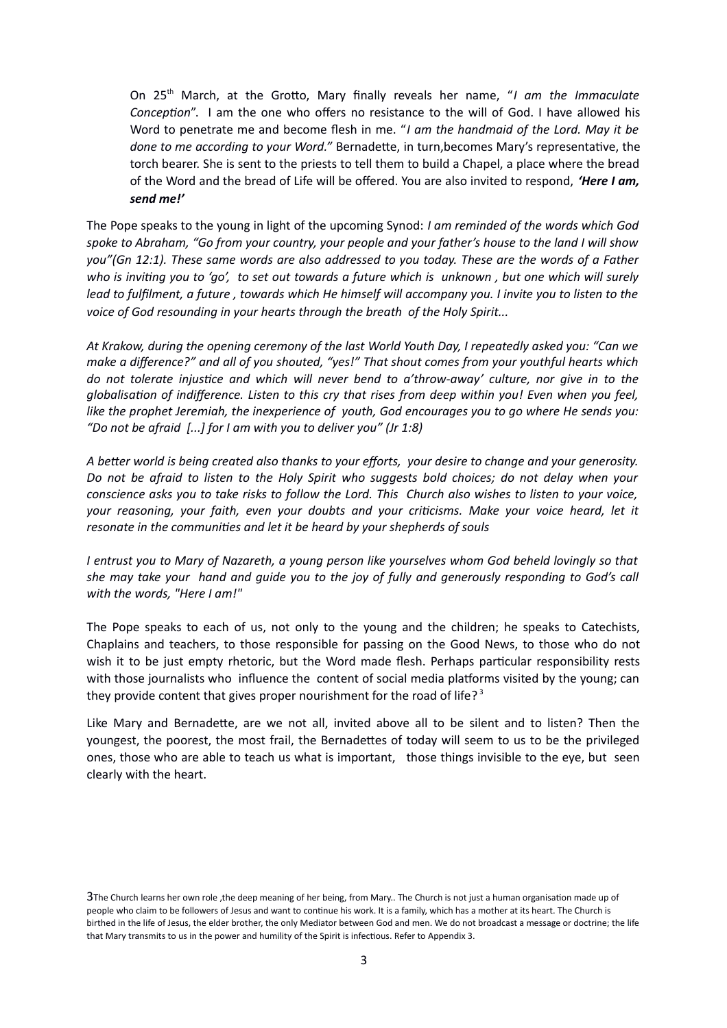On 25th March, at the Grotto, Mary finally reveals her name, "*I am the Immaculate Conception*". I am the one who offers no resistance to the will of God. I have allowed his Word to penetrate me and become flesh in me. "*I am the handmaid of the Lord. May it be done to me according to your Word."* Bernadette, in turn,becomes Mary's representative, the torch bearer. She is sent to the priests to tell them to build a Chapel, a place where the bread of the Word and the bread of Life will be offered. You are also invited to respond, *'Here I am, send me!'*

The Pope speaks to the young in light of the upcoming Synod: *I am reminded of the words which God spoke to Abraham, "Go from your country, your people and your father's house to the land I will show you"(Gn 12:1). These same words are also addressed to you today. These are the words of a Father who is inviting you to 'go', to set out towards a future which is unknown , but one which will surely lead to fulfilment, a future , towards which He himself will accompany you. I invite you to listen to the voice of God resounding in your hearts through the breath of the Holy Spirit...*

*At Krakow, during the opening ceremony of the last World Youth Day, I repeatedly asked you: "Can we make a difference?" and all of you shouted, "yes!" That shout comes from your youthful hearts which do not tolerate injustice and which will never bend to a'throw-away' culture, nor give in to the globalisation of indifference. Listen to this cry that rises from deep within you! Even when you feel, like the prophet Jeremiah, the inexperience of youth, God encourages you to go where He sends you: "Do not be afraid [...] for I am with you to deliver you" (Jr 1:8)*

*A better world is being created also thanks to your efforts, your desire to change and your generosity. Do not be afraid to listen to the Holy Spirit who suggests bold choices; do not delay when your conscience asks you to take risks to follow the Lord. This Church also wishes to listen to your voice, your reasoning, your faith, even your doubts and your criticisms. Make your voice heard, let it resonate in the communities and let it be heard by your shepherds of souls*

*I entrust you to Mary of Nazareth, a young person like yourselves whom God beheld lovingly so that she may take your hand and guide you to the joy of fully and generously responding to God's call with the words, "Here I am!"*

The Pope speaks to each of us, not only to the young and the children; he speaks to Catechists, Chaplains and teachers, to those responsible for passing on the Good News, to those who do not wish it to be just empty rhetoric, but the Word made flesh. Perhaps particular responsibility rests with those journalists who influence the content of social media platforms visited by the young; can they provide content that gives proper nourishment for the road of life?<sup>[3](#page-2-0)</sup>

Like Mary and Bernadette, are we not all, invited above all to be silent and to listen? Then the youngest, the poorest, the most frail, the Bernadettes of today will seem to us to be the privileged ones, those who are able to teach us what is important, those things invisible to the eye, but seen clearly with the heart.

<span id="page-2-0"></span><sup>3</sup>The Church learns her own role ,the deep meaning of her being, from Mary.. The Church is not just a human organisation made up of people who claim to be followers of Jesus and want to continue his work. It is a family, which has a mother at its heart. The Church is birthed in the life of Jesus, the elder brother, the only Mediator between God and men. We do not broadcast a message or doctrine; the life that Mary transmits to us in the power and humility of the Spirit is infectious. Refer to Appendix 3.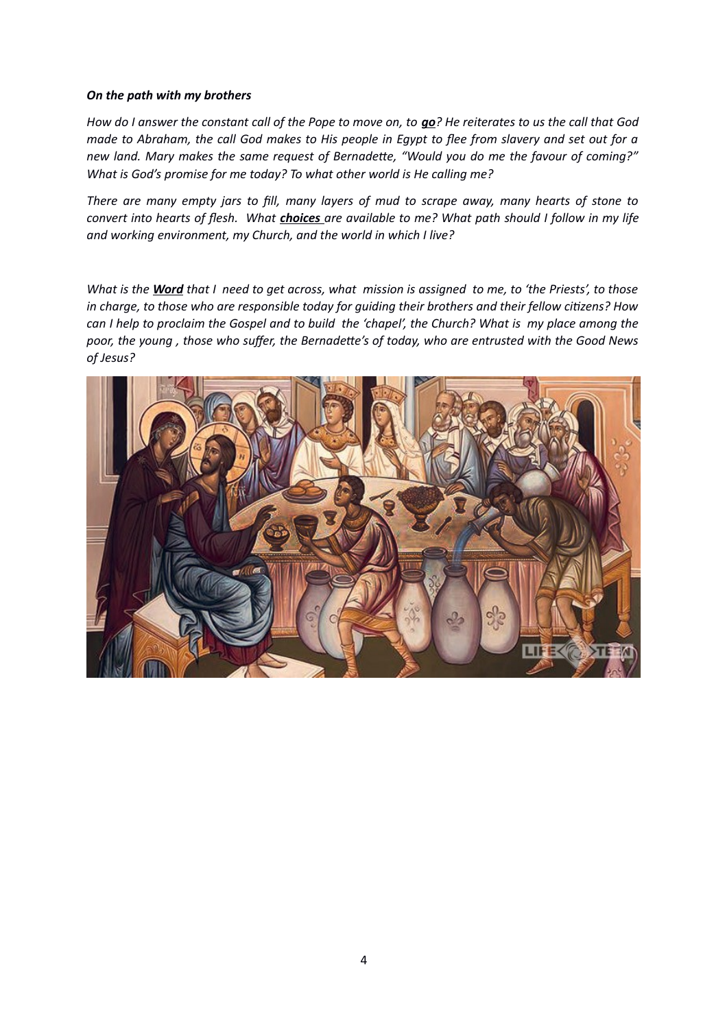#### *On the path with my brothers*

*How do I answer the constant call of the Pope to move on, to go? He reiterates to us the call that God made to Abraham, the call God makes to His people in Egypt to flee from slavery and set out for a new land. Mary makes the same request of Bernadette, "Would you do me the favour of coming?" What is God's promise for me today? To what other world is He calling me?*

*There are many empty jars to fill, many layers of mud to scrape away, many hearts of stone to convert into hearts of flesh. What choices are available to me? What path should I follow in my life and working environment, my Church, and the world in which I live?*

*What is the Word that I need to get across, what mission is assigned to me, to 'the Priests', to those in charge, to those who are responsible today for guiding their brothers and their fellow citizens? How can I help to proclaim the Gospel and to build the 'chapel', the Church? What is my place among the poor, the young , those who suffer, the Bernadette's of today, who are entrusted with the Good News of Jesus?*

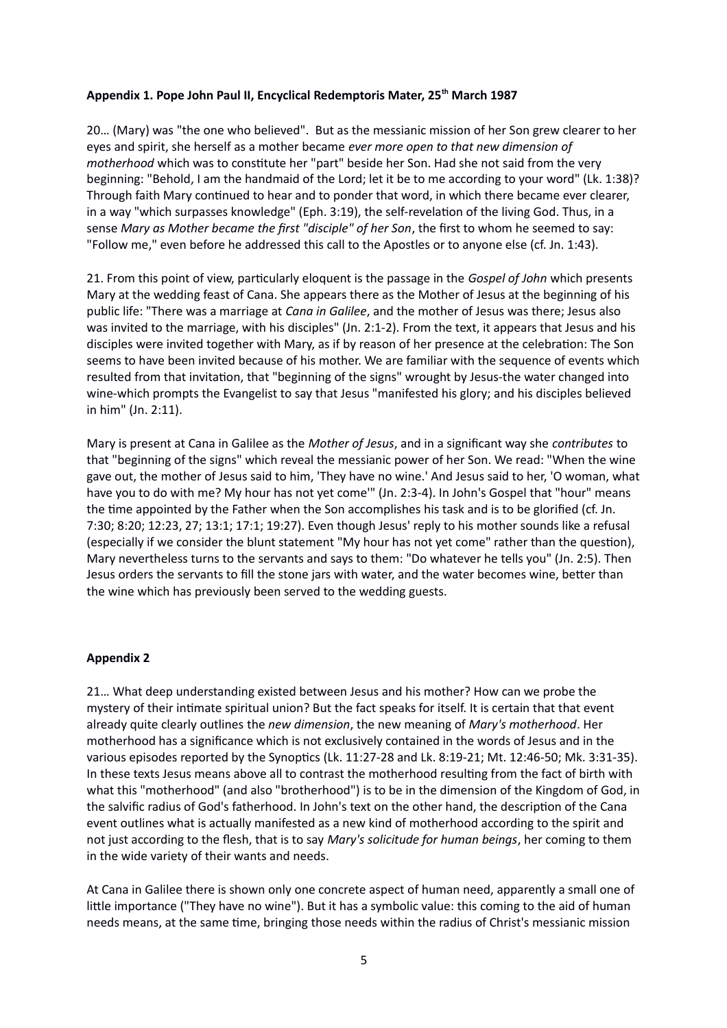#### **Appendix 1. Pope John Paul II, Encyclical Redemptoris Mater, 25th March 1987**

20… (Mary) was "the one who believed". But as the messianic mission of her Son grew clearer to her eyes and spirit, she herself as a mother became *ever more open to that new dimension of motherhood* which was to constitute her "part" beside her Son. Had she not said from the very beginning: "Behold, I am the handmaid of the Lord; let it be to me according to your word" (Lk. 1:38)? Through faith Mary continued to hear and to ponder that word, in which there became ever clearer, in a way "which surpasses knowledge" (Eph. 3:19), the self-revelation of the living God. Thus, in a sense *Mary as Mother became the first "disciple" of her Son*, the first to whom he seemed to say: "Follow me," even before he addressed this call to the Apostles or to anyone else (cf. Jn. 1:43).

21. From this point of view, particularly eloquent is the passage in the *Gospel of John* which presents Mary at the wedding feast of Cana. She appears there as the Mother of Jesus at the beginning of his public life: "There was a marriage at *Cana in Galilee*, and the mother of Jesus was there; Jesus also was invited to the marriage, with his disciples" (Jn. 2:1-2). From the text, it appears that Jesus and his disciples were invited together with Mary, as if by reason of her presence at the celebration: The Son seems to have been invited because of his mother. We are familiar with the sequence of events which resulted from that invitation, that "beginning of the signs" wrought by Jesus-the water changed into wine-which prompts the Evangelist to say that Jesus "manifested his glory; and his disciples believed in him" (Jn. 2:11).

Mary is present at Cana in Galilee as the *Mother of Jesus*, and in a significant way she *contributes* to that "beginning of the signs" which reveal the messianic power of her Son. We read: "When the wine gave out, the mother of Jesus said to him, 'They have no wine.' And Jesus said to her, 'O woman, what have you to do with me? My hour has not yet come'" (Jn. 2:3-4). In John's Gospel that "hour" means the time appointed by the Father when the Son accomplishes his task and is to be glorified (cf. Jn. 7:30; 8:20; 12:23, 27; 13:1; 17:1; 19:27). Even though Jesus' reply to his mother sounds like a refusal (especially if we consider the blunt statement "My hour has not yet come" rather than the question), Mary nevertheless turns to the servants and says to them: "Do whatever he tells you" (Jn. 2:5). Then Jesus orders the servants to fill the stone jars with water, and the water becomes wine, better than the wine which has previously been served to the wedding guests.

#### **Appendix 2**

21… What deep understanding existed between Jesus and his mother? How can we probe the mystery of their intimate spiritual union? But the fact speaks for itself. It is certain that that event already quite clearly outlines the *new dimension*, the new meaning of *Mary's motherhood*. Her motherhood has a significance which is not exclusively contained in the words of Jesus and in the various episodes reported by the Synoptics (Lk. 11:27-28 and Lk. 8:19-21; Mt. 12:46-50; Mk. 3:31-35). In these texts Jesus means above all to contrast the motherhood resulting from the fact of birth with what this "motherhood" (and also "brotherhood") is to be in the dimension of the Kingdom of God, in the salvific radius of God's fatherhood. In John's text on the other hand, the description of the Cana event outlines what is actually manifested as a new kind of motherhood according to the spirit and not just according to the flesh, that is to say *Mary's solicitude for human beings*, her coming to them in the wide variety of their wants and needs.

At Cana in Galilee there is shown only one concrete aspect of human need, apparently a small one of little importance ("They have no wine"). But it has a symbolic value: this coming to the aid of human needs means, at the same time, bringing those needs within the radius of Christ's messianic mission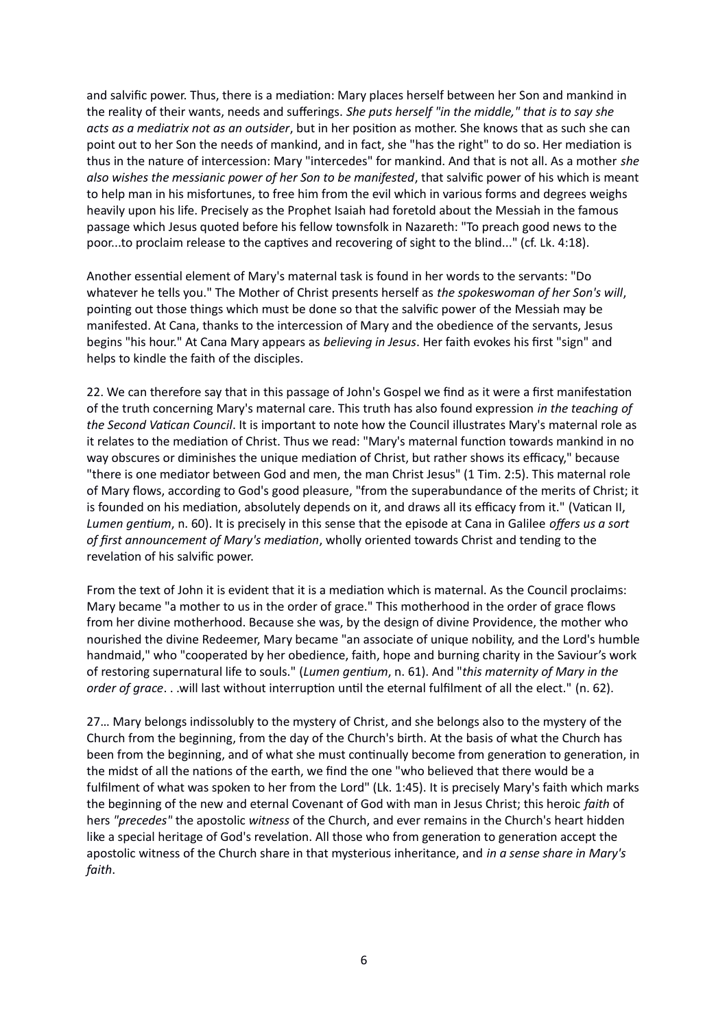and salvific power. Thus, there is a mediation: Mary places herself between her Son and mankind in the reality of their wants, needs and sufferings. *She puts herself "in the middle," that is to say she acts as a mediatrix not as an outsider*, but in her position as mother. She knows that as such she can point out to her Son the needs of mankind, and in fact, she "has the right" to do so. Her mediation is thus in the nature of intercession: Mary "intercedes" for mankind. And that is not all. As a mother *she also wishes the messianic power of her Son to be manifested*, that salvific power of his which is meant to help man in his misfortunes, to free him from the evil which in various forms and degrees weighs heavily upon his life. Precisely as the Prophet Isaiah had foretold about the Messiah in the famous passage which Jesus quoted before his fellow townsfolk in Nazareth: "To preach good news to the poor...to proclaim release to the captives and recovering of sight to the blind..." (cf. Lk. 4:18).

Another essential element of Mary's maternal task is found in her words to the servants: "Do whatever he tells you." The Mother of Christ presents herself as *the spokeswoman of her Son's will*, pointing out those things which must be done so that the salvific power of the Messiah may be manifested. At Cana, thanks to the intercession of Mary and the obedience of the servants, Jesus begins "his hour." At Cana Mary appears as *believing in Jesus*. Her faith evokes his first "sign" and helps to kindle the faith of the disciples.

22. We can therefore say that in this passage of John's Gospel we find as it were a first manifestation of the truth concerning Mary's maternal care. This truth has also found expression *in the teaching of the Second Vatican Council*. It is important to note how the Council illustrates Mary's maternal role as it relates to the mediation of Christ. Thus we read: "Mary's maternal function towards mankind in no way obscures or diminishes the unique mediation of Christ, but rather shows its efficacy," because "there is one mediator between God and men, the man Christ Jesus" (1 Tim. 2:5). This maternal role of Mary flows, according to God's good pleasure, "from the superabundance of the merits of Christ; it is founded on his mediation, absolutely depends on it, and draws all its efficacy from it." (Vatican II, *Lumen gentium*, n. 60). It is precisely in this sense that the episode at Cana in Galilee *offers us a sort of first announcement of Mary's mediation*, wholly oriented towards Christ and tending to the revelation of his salvific power.

From the text of John it is evident that it is a mediation which is maternal. As the Council proclaims: Mary became "a mother to us in the order of grace." This motherhood in the order of grace flows from her divine motherhood. Because she was, by the design of divine Providence, the mother who nourished the divine Redeemer, Mary became "an associate of unique nobility, and the Lord's humble handmaid," who "cooperated by her obedience, faith, hope and burning charity in the Saviour's work of restoring supernatural life to souls." (*Lumen gentium*, n. 61). And "*this maternity of Mary in the order of grace*. . .will last without interruption until the eternal fulfilment of all the elect." (n. 62).

27… Mary belongs indissolubly to the mystery of Christ, and she belongs also to the mystery of the Church from the beginning, from the day of the Church's birth. At the basis of what the Church has been from the beginning, and of what she must continually become from generation to generation, in the midst of all the nations of the earth, we find the one "who believed that there would be a fulfilment of what was spoken to her from the Lord" (Lk. 1:45). It is precisely Mary's faith which marks the beginning of the new and eternal Covenant of God with man in Jesus Christ; this heroic *faith* of hers *"precedes"* the apostolic *witness* of the Church, and ever remains in the Church's heart hidden like a special heritage of God's revelation. All those who from generation to generation accept the apostolic witness of the Church share in that mysterious inheritance, and *in a sense share in Mary's faith*.